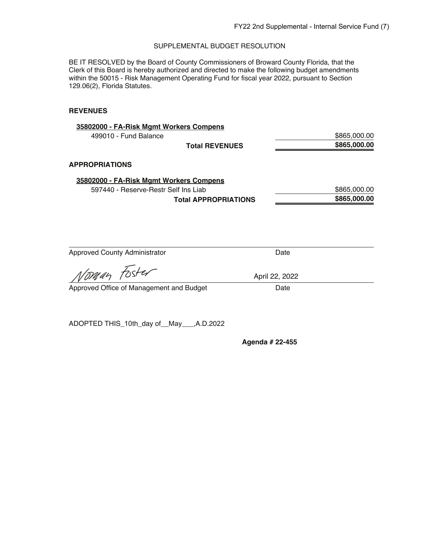BE IT RESOLVED by the Board of County Commissioners of Broward County Florida, that the Clerk of this Board is hereby authorized and directed to make the following budget amendments within the 50015 - Risk Management Operating Fund for fiscal year 2022, pursuant to Section 129.06(2), Florida Statutes.

# **REVENUES**

| \$865,000.00 |
|--------------|
| \$865,000.00 |
|              |
|              |
| \$865,000.00 |
| \$865,000.00 |
|              |

| <b>Approved County Administrator</b> | Date |
|--------------------------------------|------|
|--------------------------------------|------|

April 22, 2022

Voman Foster

Approved Office of Management and Budget Date

ADOPTED THIS\_10th\_day of\_\_May\_\_\_,A.D.2022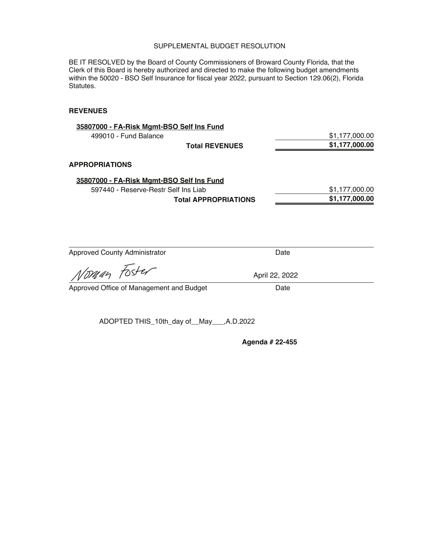BE IT RESOLVED by the Board of County Commissioners of Broward County Florida, that the Clerk of this Board is hereby authorized and directed to make the following budget amendments within the 50020 - BSO Self Insurance for fiscal year 2022, pursuant to Section 129.06(2), Florida Statutes.

## **REVENUES**

| \$1,177,000.00 |
|----------------|
| \$1,177,000.00 |
|                |
|                |
| \$1,177,000.00 |
| \$1,177,000.00 |
|                |

| <b>Approved County Administrator</b>     | Date           |  |
|------------------------------------------|----------------|--|
| Noman Foster                             | April 22, 2022 |  |
| Approved Office of Management and Budget | Date           |  |

ADOPTED THIS\_10th\_day of\_\_May\_\_\_,A.D.2022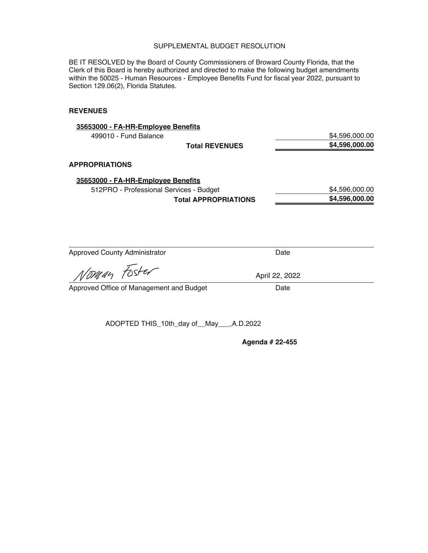BE IT RESOLVED by the Board of County Commissioners of Broward County Florida, that the Clerk of this Board is hereby authorized and directed to make the following budget amendments within the 50025 - Human Resources - Employee Benefits Fund for fiscal year 2022, pursuant to Section 129.06(2), Florida Statutes.

## **REVENUES**

| 35653000 - FA-HR-Employee Benefits      |                             |      |                |
|-----------------------------------------|-----------------------------|------|----------------|
| 499010 - Fund Balance                   |                             |      | \$4,596,000.00 |
|                                         | <b>Total REVENUES</b>       |      | \$4,596,000.00 |
| <b>APPROPRIATIONS</b>                   |                             |      |                |
| 35653000 - FA-HR-Employee Benefits      |                             |      |                |
| 512PRO - Professional Services - Budget |                             |      | \$4,596,000.00 |
|                                         | <b>Total APPROPRIATIONS</b> |      | \$4,596,000.00 |
|                                         |                             |      |                |
|                                         |                             |      |                |
|                                         |                             |      |                |
| <b>Approved County Administrator</b>    |                             | Date |                |

Noman Foster

Approved Office of Management and Budget Date

ADOPTED THIS\_10th\_day of\_\_May\_\_\_,A.D.2022

**Agenda # 22-455** 

April 22, 2022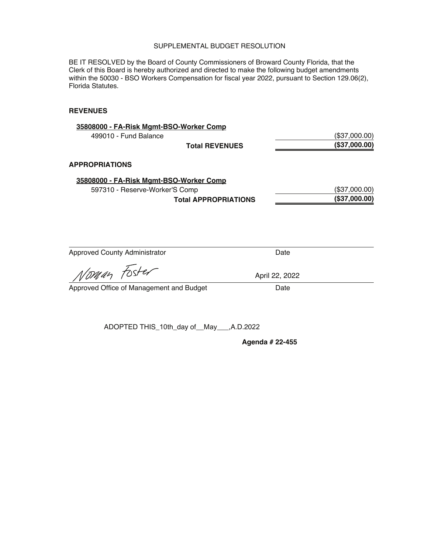BE IT RESOLVED by the Board of County Commissioners of Broward County Florida, that the Clerk of this Board is hereby authorized and directed to make the following budget amendments within the 50030 - BSO Workers Compensation for fiscal year 2022, pursuant to Section 129.06(2), Florida Statutes.

# **REVENUES**

| 35808000 - FA-Risk Mgmt-BSO-Worker Comp |               |
|-----------------------------------------|---------------|
| 499010 - Fund Balance                   | (\$37,000.00) |
| <b>Total REVENUES</b>                   | (\$37,000.00) |
| <b>APPROPRIATIONS</b>                   |               |
| 35808000 - FA-Risk Mgmt-BSO-Worker Comp |               |
| 597310 - Reserve-Worker'S Comp          | (\$37,000.00) |
| <b>Total APPROPRIATIONS</b>             | (\$37,000.00) |
|                                         |               |

| <b>Approved County Administrator</b> | Date |
|--------------------------------------|------|
|--------------------------------------|------|

April 22, 2022

..<br>Noman Foste,

Approved Office of Management and Budget Date

ADOPTED THIS\_10th\_day of\_\_May\_\_\_,A.D.2022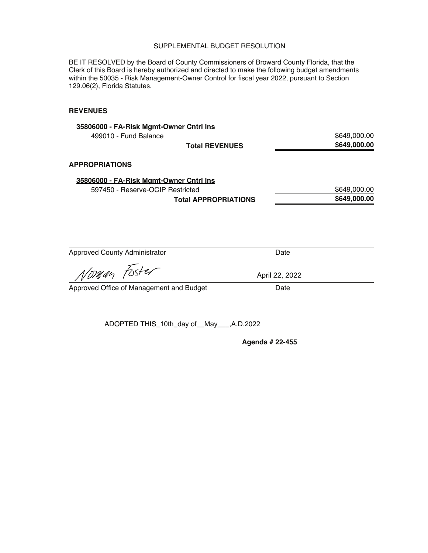BE IT RESOLVED by the Board of County Commissioners of Broward County Florida, that the Clerk of this Board is hereby authorized and directed to make the following budget amendments within the 50035 - Risk Management-Owner Control for fiscal year 2022, pursuant to Section 129.06(2), Florida Statutes.

# **REVENUES**

| \$649,000.00 |
|--------------|
| \$649,000.00 |
|              |
|              |
| \$649,000.00 |
| \$649,000.00 |
|              |
|              |
|              |
|              |

Approved County Administrator **Date** Date

Voman Foster

Approved Office of Management and Budget Date

ADOPTED THIS\_10th\_day of\_\_May\_\_\_,A.D.2022

**Agenda # 22-455** 

April 22, 2022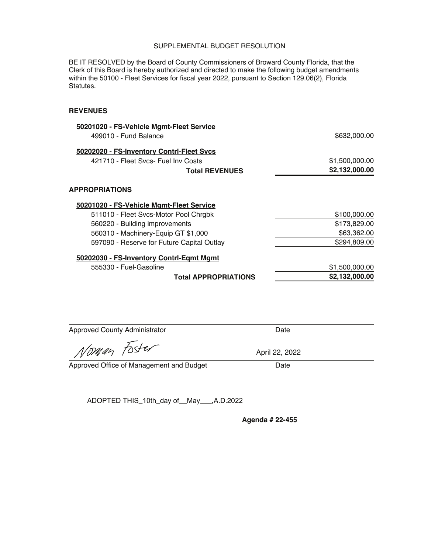BE IT RESOLVED by the Board of County Commissioners of Broward County Florida, that the Clerk of this Board is hereby authorized and directed to make the following budget amendments within the 50100 - Fleet Services for fiscal year 2022, pursuant to Section 129.06(2), Florida Statutes.

#### **REVENUES**

| 50201020 - FS-Vehicle Mgmt-Fleet Service                                          |                |
|-----------------------------------------------------------------------------------|----------------|
| 499010 - Fund Balance                                                             | \$632,000.00   |
| 50202020 - FS-Inventory Contrl-Fleet Svcs                                         |                |
| 421710 - Fleet Sycs- Fuel Iny Costs                                               | \$1,500,000.00 |
| <b>Total REVENUES</b>                                                             | \$2,132,000.00 |
| <b>APPROPRIATIONS</b>                                                             |                |
| 50201020 - FS-Vehicle Mgmt-Fleet Service<br>511010 - Fleet Svcs-Motor Pool Chrgbk | \$100,000.00   |
| 560220 - Building improvements                                                    | \$173,829.00   |
| 560310 - Machinery-Equip GT \$1,000                                               | \$63,362.00    |
| 597090 - Reserve for Future Capital Outlay                                        | \$294,809.00   |
| 50202030 - FS-Inventory Contrl-Egmt Mgmt                                          |                |
| 555330 - Fuel-Gasoline                                                            | \$1,500,000.00 |
| <b>Total APPROPRIATIONS</b>                                                       | \$2,132,000.00 |

Approved County Administrator **Date** Date

Noman Foster

April 22, 2022

Approved Office of Management and Budget Date

ADOPTED THIS\_10th\_day of\_\_May\_\_\_,A.D.2022